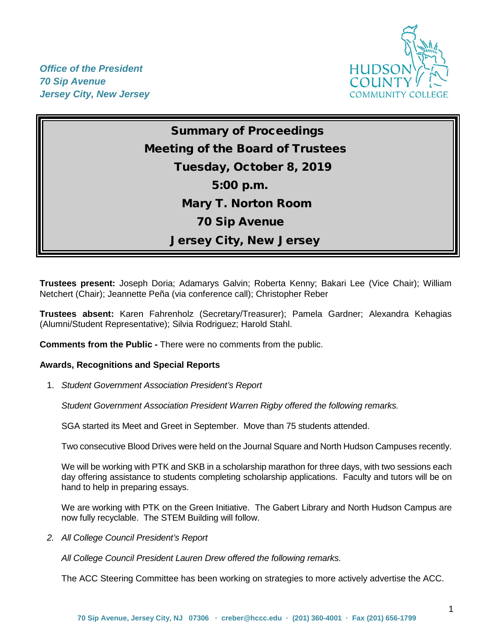

*Office of the President 70 Sip Avenue Jersey City, New Jersey*

> Summary of Proceedings Meeting of the Board of Trustees Tuesday, October 8, 2019 5:00 p.m. Mary T. Norton Room 70 Sip Avenue Jersey City, New Jersey

**Trustees present:** Joseph Doria; Adamarys Galvin; Roberta Kenny; Bakari Lee (Vice Chair); William Netchert (Chair); Jeannette Peña (via conference call); Christopher Reber

**Trustees absent:** Karen Fahrenholz (Secretary/Treasurer); Pamela Gardner; Alexandra Kehagias (Alumni/Student Representative); Silvia Rodriguez; Harold Stahl.

**Comments from the Public** *-* There were no comments from the public.

## **Awards, Recognitions and Special Reports**

1. *Student Government Association President's Report* 

*Student Government Association President Warren Rigby offered the following remarks.*

SGA started its Meet and Greet in September. Move than 75 students attended.

Two consecutive Blood Drives were held on the Journal Square and North Hudson Campuses recently.

We will be working with PTK and SKB in a scholarship marathon for three days, with two sessions each day offering assistance to students completing scholarship applications. Faculty and tutors will be on hand to help in preparing essays.

We are working with PTK on the Green Initiative. The Gabert Library and North Hudson Campus are now fully recyclable. The STEM Building will follow.

*2. All College Council President's Report* 

*All College Council President Lauren Drew offered the following remarks.*

The ACC Steering Committee has been working on strategies to more actively advertise the ACC.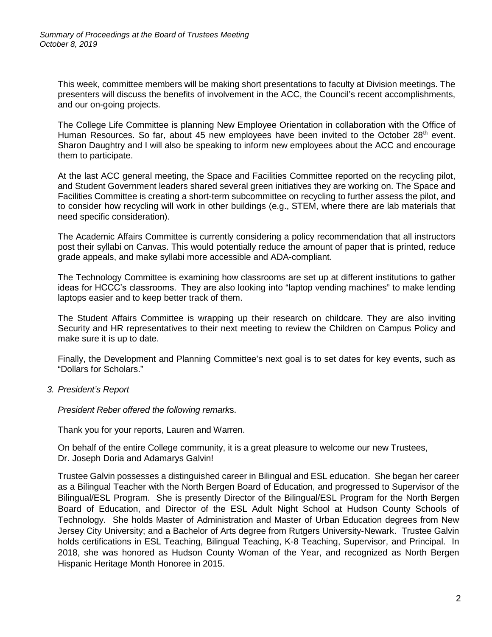This week, committee members will be making short presentations to faculty at Division meetings. The presenters will discuss the benefits of involvement in the ACC, the Council's recent accomplishments, and our on-going projects.

The College Life Committee is planning New Employee Orientation in collaboration with the Office of Human Resources. So far, about 45 new employees have been invited to the October 28<sup>th</sup> event. Sharon Daughtry and I will also be speaking to inform new employees about the ACC and encourage them to participate.

At the last ACC general meeting, the Space and Facilities Committee reported on the recycling pilot, and Student Government leaders shared several green initiatives they are working on. The Space and Facilities Committee is creating a short-term subcommittee on recycling to further assess the pilot, and to consider how recycling will work in other buildings (e.g., STEM, where there are lab materials that need specific consideration).

The Academic Affairs Committee is currently considering a policy recommendation that all instructors post their syllabi on Canvas. This would potentially reduce the amount of paper that is printed, reduce grade appeals, and make syllabi more accessible and ADA-compliant.

The Technology Committee is examining how classrooms are set up at different institutions to gather ideas for HCCC's classrooms.  They are also looking into "laptop vending machines" to make lending laptops easier and to keep better track of them.

The Student Affairs Committee is wrapping up their research on childcare. They are also inviting Security and HR representatives to their next meeting to review the Children on Campus Policy and make sure it is up to date.

Finally, the Development and Planning Committee's next goal is to set dates for key events, such as "Dollars for Scholars."

*3. President's Report*

*President Reber offered the following remark*s.

Thank you for your reports, Lauren and Warren.

On behalf of the entire College community, it is a great pleasure to welcome our new Trustees, Dr. Joseph Doria and Adamarys Galvin!

Trustee Galvin possesses a distinguished career in Bilingual and ESL education. She began her career as a Bilingual Teacher with the North Bergen Board of Education, and progressed to Supervisor of the Bilingual/ESL Program. She is presently Director of the Bilingual/ESL Program for the North Bergen Board of Education, and Director of the ESL Adult Night School at Hudson County Schools of Technology. She holds Master of Administration and Master of Urban Education degrees from New Jersey City University; and a Bachelor of Arts degree from Rutgers University-Newark. Trustee Galvin holds certifications in ESL Teaching, Bilingual Teaching, K-8 Teaching, Supervisor, and Principal. In 2018, she was honored as Hudson County Woman of the Year, and recognized as North Bergen Hispanic Heritage Month Honoree in 2015.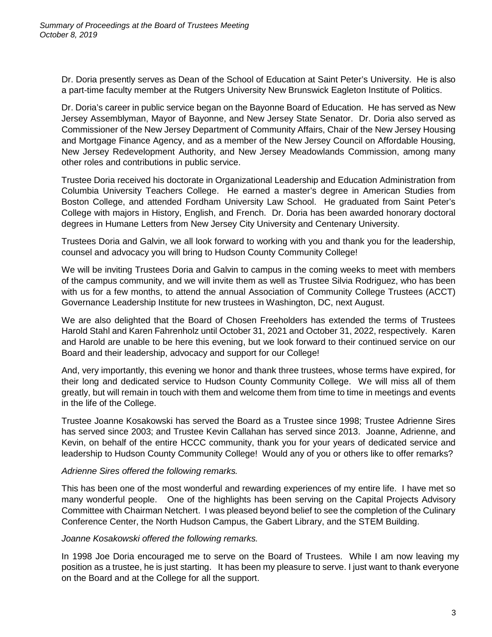Dr. Doria presently serves as Dean of the School of Education at Saint Peter's University. He is also a part-time faculty member at the Rutgers University New Brunswick Eagleton Institute of Politics.

Dr. Doria's career in public service began on the Bayonne Board of Education. He has served as New Jersey Assemblyman, Mayor of Bayonne, and New Jersey State Senator. Dr. Doria also served as Commissioner of the New Jersey Department of Community Affairs, Chair of the New Jersey Housing and Mortgage Finance Agency, and as a member of the New Jersey Council on Affordable Housing, New Jersey Redevelopment Authority, and New Jersey Meadowlands Commission, among many other roles and contributions in public service.

Trustee Doria received his doctorate in Organizational Leadership and Education Administration from Columbia University Teachers College. He earned a master's degree in American Studies from Boston College, and attended Fordham University Law School. He graduated from Saint Peter's College with majors in History, English, and French. Dr. Doria has been awarded honorary doctoral degrees in Humane Letters from New Jersey City University and Centenary University.

Trustees Doria and Galvin, we all look forward to working with you and thank you for the leadership, counsel and advocacy you will bring to Hudson County Community College!

We will be inviting Trustees Doria and Galvin to campus in the coming weeks to meet with members of the campus community, and we will invite them as well as Trustee Silvia Rodriguez, who has been with us for a few months, to attend the annual Association of Community College Trustees (ACCT) Governance Leadership Institute for new trustees in Washington, DC, next August.

We are also delighted that the Board of Chosen Freeholders has extended the terms of Trustees Harold Stahl and Karen Fahrenholz until October 31, 2021 and October 31, 2022, respectively. Karen and Harold are unable to be here this evening, but we look forward to their continued service on our Board and their leadership, advocacy and support for our College!

And, very importantly, this evening we honor and thank three trustees, whose terms have expired, for their long and dedicated service to Hudson County Community College. We will miss all of them greatly, but will remain in touch with them and welcome them from time to time in meetings and events in the life of the College.

Trustee Joanne Kosakowski has served the Board as a Trustee since 1998; Trustee Adrienne Sires has served since 2003; and Trustee Kevin Callahan has served since 2013. Joanne, Adrienne, and Kevin, on behalf of the entire HCCC community, thank you for your years of dedicated service and leadership to Hudson County Community College! Would any of you or others like to offer remarks?

## *Adrienne Sires offered the following remarks.*

This has been one of the most wonderful and rewarding experiences of my entire life. I have met so many wonderful people. One of the highlights has been serving on the Capital Projects Advisory Committee with Chairman Netchert. I was pleased beyond belief to see the completion of the Culinary Conference Center, the North Hudson Campus, the Gabert Library, and the STEM Building.

## *Joanne Kosakowski offered the following remarks.*

In 1998 Joe Doria encouraged me to serve on the Board of Trustees. While I am now leaving my position as a trustee, he is just starting. It has been my pleasure to serve. I just want to thank everyone on the Board and at the College for all the support.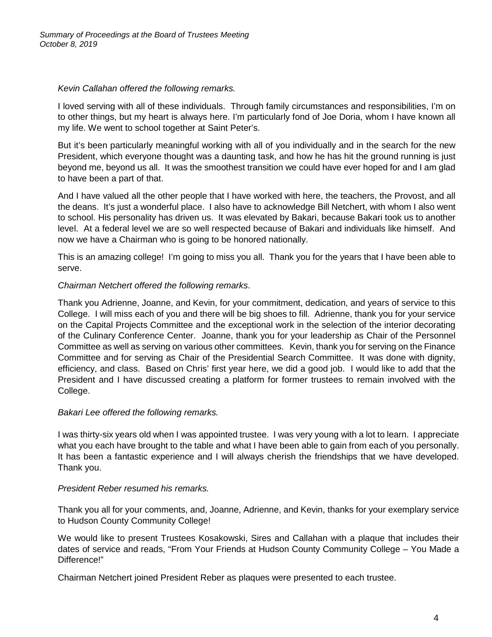# *Kevin Callahan offered the following remarks.*

I loved serving with all of these individuals. Through family circumstances and responsibilities, I'm on to other things, but my heart is always here. I'm particularly fond of Joe Doria, whom I have known all my life. We went to school together at Saint Peter's.

But it's been particularly meaningful working with all of you individually and in the search for the new President, which everyone thought was a daunting task, and how he has hit the ground running is just beyond me, beyond us all. It was the smoothest transition we could have ever hoped for and I am glad to have been a part of that.

And I have valued all the other people that I have worked with here, the teachers, the Provost, and all the deans. It's just a wonderful place. I also have to acknowledge Bill Netchert, with whom I also went to school. His personality has driven us. It was elevated by Bakari, because Bakari took us to another level. At a federal level we are so well respected because of Bakari and individuals like himself. And now we have a Chairman who is going to be honored nationally.

This is an amazing college! I'm going to miss you all. Thank you for the years that I have been able to serve.

# *Chairman Netchert offered the following remarks*.

Thank you Adrienne, Joanne, and Kevin, for your commitment, dedication, and years of service to this College. I will miss each of you and there will be big shoes to fill. Adrienne, thank you for your service on the Capital Projects Committee and the exceptional work in the selection of the interior decorating of the Culinary Conference Center. Joanne, thank you for your leadership as Chair of the Personnel Committee as well as serving on various other committees. Kevin, thank you for serving on the Finance Committee and for serving as Chair of the Presidential Search Committee. It was done with dignity, efficiency, and class. Based on Chris' first year here, we did a good job. I would like to add that the President and I have discussed creating a platform for former trustees to remain involved with the College.

## *Bakari Lee offered the following remarks.*

I was thirty-six years old when I was appointed trustee. I was very young with a lot to learn. I appreciate what you each have brought to the table and what I have been able to gain from each of you personally. It has been a fantastic experience and I will always cherish the friendships that we have developed. Thank you.

## *President Reber resumed his remarks.*

Thank you all for your comments, and, Joanne, Adrienne, and Kevin, thanks for your exemplary service to Hudson County Community College!

We would like to present Trustees Kosakowski, Sires and Callahan with a plaque that includes their dates of service and reads, "From Your Friends at Hudson County Community College – You Made a Difference!"

Chairman Netchert joined President Reber as plaques were presented to each trustee.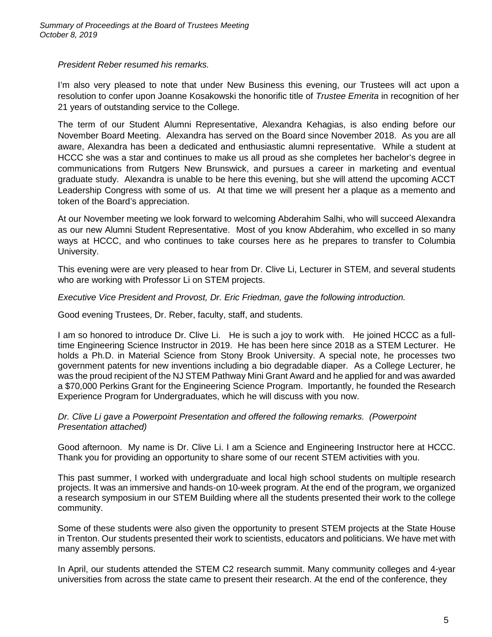*President Reber resumed his remarks.* 

I'm also very pleased to note that under New Business this evening, our Trustees will act upon a resolution to confer upon Joanne Kosakowski the honorific title of *Trustee Emerita* in recognition of her 21 years of outstanding service to the College.

The term of our Student Alumni Representative, Alexandra Kehagias, is also ending before our November Board Meeting. Alexandra has served on the Board since November 2018. As you are all aware, Alexandra has been a dedicated and enthusiastic alumni representative. While a student at HCCC she was a star and continues to make us all proud as she completes her bachelor's degree in communications from Rutgers New Brunswick, and pursues a career in marketing and eventual graduate study. Alexandra is unable to be here this evening, but she will attend the upcoming ACCT Leadership Congress with some of us. At that time we will present her a plaque as a memento and token of the Board's appreciation.

At our November meeting we look forward to welcoming Abderahim Salhi, who will succeed Alexandra as our new Alumni Student Representative. Most of you know Abderahim, who excelled in so many ways at HCCC, and who continues to take courses here as he prepares to transfer to Columbia University.

This evening were are very pleased to hear from Dr. Clive Li, Lecturer in STEM, and several students who are working with Professor Li on STEM projects.

*Executive Vice President and Provost, Dr. Eric Friedman, gave the following introduction.*

Good evening Trustees, Dr. Reber, faculty, staff, and students.

I am so honored to introduce Dr. Clive Li. He is such a joy to work with. He joined HCCC as a fulltime Engineering Science Instructor in 2019. He has been here since 2018 as a STEM Lecturer. He holds a Ph.D. in Material Science from Stony Brook University. A special note, he processes two government patents for new inventions including a bio degradable diaper. As a College Lecturer, he was the proud recipient of the NJ STEM Pathway Mini Grant Award and he applied for and was awarded a \$70,000 Perkins Grant for the Engineering Science Program. Importantly, he founded the Research Experience Program for Undergraduates, which he will discuss with you now.

### *Dr. Clive Li gave a Powerpoint Presentation and offered the following remarks. (Powerpoint Presentation attached)*

Good afternoon. My name is Dr. Clive Li. I am a Science and Engineering Instructor here at HCCC. Thank you for providing an opportunity to share some of our recent STEM activities with you.

This past summer, I worked with undergraduate and local high school students on multiple research projects. It was an immersive and hands-on 10-week program. At the end of the program, we organized a research symposium in our STEM Building where all the students presented their work to the college community.

Some of these students were also given the opportunity to present STEM projects at the State House in Trenton. Our students presented their work to scientists, educators and politicians. We have met with many assembly persons.

In April, our students attended the STEM C2 research summit. Many community colleges and 4-year universities from across the state came to present their research. At the end of the conference, they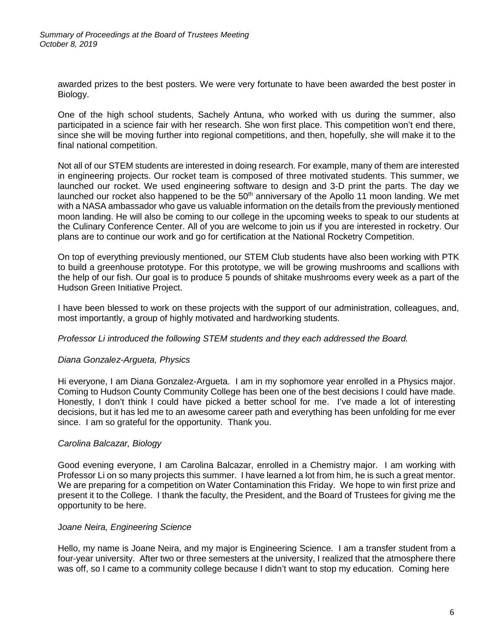awarded prizes to the best posters. We were very fortunate to have been awarded the best poster in Biology.

One of the high school students, Sachely Antuna, who worked with us during the summer, also participated in a science fair with her research. She won first place. This competition won't end there, since she will be moving further into regional competitions, and then, hopefully, she will make it to the final national competition.

Not all of our STEM students are interested in doing research. For example, many of them are interested in engineering projects. Our rocket team is composed of three motivated students. This summer, we launched our rocket. We used engineering software to design and 3-D print the parts. The day we launched our rocket also happened to be the  $50<sup>th</sup>$  anniversary of the Apollo 11 moon landing. We met with a NASA ambassador who gave us valuable information on the details from the previously mentioned moon landing. He will also be coming to our college in the upcoming weeks to speak to our students at the Culinary Conference Center. All of you are welcome to join us if you are interested in rocketry. Our plans are to continue our work and go for certification at the National Rocketry Competition.

On top of everything previously mentioned, our STEM Club students have also been working with PTK to build a greenhouse prototype. For this prototype, we will be growing mushrooms and scallions with the help of our fish. Our goal is to produce 5 pounds of shitake mushrooms every week as a part of the Hudson Green Initiative Project.

I have been blessed to work on these projects with the support of our administration, colleagues, and, most importantly, a group of highly motivated and hardworking students.

#### *Professor Li introduced the following STEM students and they each addressed the Board.*

## *Diana Gonzalez-Argueta, Physics*

Hi everyone, I am Diana Gonzalez-Argueta. I am in my sophomore year enrolled in a Physics major. Coming to Hudson County Community College has been one of the best decisions I could have made. Honestly, I don't think I could have picked a better school for me. I've made a lot of interesting decisions, but it has led me to an awesome career path and everything has been unfolding for me ever since. I am so grateful for the opportunity. Thank you.

#### *Carolina Balcazar, Biology*

Good evening everyone, I am Carolina Balcazar, enrolled in a Chemistry major. I am working with Professor Li on so many projects this summer. I have learned a lot from him, he is such a great mentor. We are preparing for a competition on Water Contamination this Friday. We hope to win first prize and present it to the College. I thank the faculty, the President, and the Board of Trustees for giving me the opportunity to be here.

#### J*oane Neira, Engineering Science*

Hello, my name is Joane Neira, and my major is Engineering Science. I am a transfer student from a four-year university. After two or three semesters at the university, I realized that the atmosphere there was off, so I came to a community college because I didn't want to stop my education. Coming here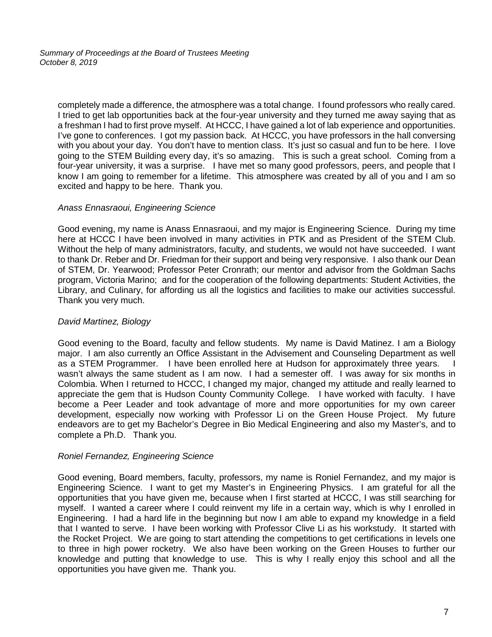*Summary of Proceedings at the Board of Trustees Meeting October 8, 2019*

completely made a difference, the atmosphere was a total change. I found professors who really cared. I tried to get lab opportunities back at the four-year university and they turned me away saying that as a freshman I had to first prove myself. At HCCC, I have gained a lot of lab experience and opportunities. I've gone to conferences. I got my passion back. At HCCC, you have professors in the hall conversing with you about your day. You don't have to mention class. It's just so casual and fun to be here. I love going to the STEM Building every day, it's so amazing. This is such a great school. Coming from a four-year university, it was a surprise. I have met so many good professors, peers, and people that I know I am going to remember for a lifetime. This atmosphere was created by all of you and I am so excited and happy to be here. Thank you.

## *Anass Ennasraoui, Engineering Science*

Good evening, my name is Anass Ennasraoui, and my major is Engineering Science. During my time here at HCCC I have been involved in many activities in PTK and as President of the STEM Club. Without the help of many administrators, faculty, and students, we would not have succeeded. I want to thank Dr. Reber and Dr. Friedman for their support and being very responsive. I also thank our Dean of STEM, Dr. Yearwood; Professor Peter Cronrath; our mentor and advisor from the Goldman Sachs program, Victoria Marino; and for the cooperation of the following departments: Student Activities, the Library, and Culinary, for affording us all the logistics and facilities to make our activities successful. Thank you very much.

## *David Martinez, Biology*

Good evening to the Board, faculty and fellow students. My name is David Matinez. I am a Biology major. I am also currently an Office Assistant in the Advisement and Counseling Department as well as a STEM Programmer. I have been enrolled here at Hudson for approximately three years. I wasn't always the same student as I am now. I had a semester off. I was away for six months in Colombia. When I returned to HCCC, I changed my major, changed my attitude and really learned to appreciate the gem that is Hudson County Community College. I have worked with faculty. I have become a Peer Leader and took advantage of more and more opportunities for my own career development, especially now working with Professor Li on the Green House Project. My future endeavors are to get my Bachelor's Degree in Bio Medical Engineering and also my Master's, and to complete a Ph.D. Thank you.

#### *Roniel Fernandez, Engineering Science*

Good evening, Board members, faculty, professors, my name is Roniel Fernandez, and my major is Engineering Science. I want to get my Master's in Engineering Physics. I am grateful for all the opportunities that you have given me, because when I first started at HCCC, I was still searching for myself. I wanted a career where I could reinvent my life in a certain way, which is why I enrolled in Engineering. I had a hard life in the beginning but now I am able to expand my knowledge in a field that I wanted to serve. I have been working with Professor Clive Li as his workstudy. It started with the Rocket Project. We are going to start attending the competitions to get certifications in levels one to three in high power rocketry. We also have been working on the Green Houses to further our knowledge and putting that knowledge to use. This is why I really enjoy this school and all the opportunities you have given me. Thank you.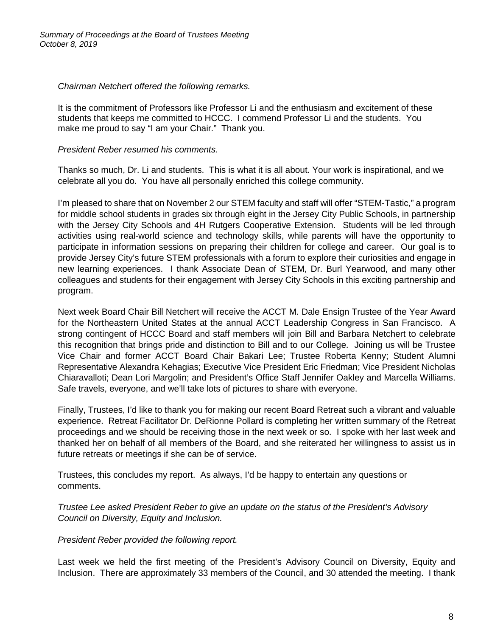*Chairman Netchert offered the following remarks.*

It is the commitment of Professors like Professor Li and the enthusiasm and excitement of these students that keeps me committed to HCCC. I commend Professor Li and the students. You make me proud to say "I am your Chair." Thank you.

# *President Reber resumed his comments.*

Thanks so much, Dr. Li and students. This is what it is all about. Your work is inspirational, and we celebrate all you do. You have all personally enriched this college community.

I'm pleased to share that on November 2 our STEM faculty and staff will offer "STEM-Tastic," a program for middle school students in grades six through eight in the Jersey City Public Schools, in partnership with the Jersey City Schools and 4H Rutgers Cooperative Extension. Students will be led through activities using real-world science and technology skills, while parents will have the opportunity to participate in information sessions on preparing their children for college and career. Our goal is to provide Jersey City's future STEM professionals with a forum to explore their curiosities and engage in new learning experiences. I thank Associate Dean of STEM, Dr. Burl Yearwood, and many other colleagues and students for their engagement with Jersey City Schools in this exciting partnership and program.

Next week Board Chair Bill Netchert will receive the ACCT M. Dale Ensign Trustee of the Year Award for the Northeastern United States at the annual ACCT Leadership Congress in San Francisco. A strong contingent of HCCC Board and staff members will join Bill and Barbara Netchert to celebrate this recognition that brings pride and distinction to Bill and to our College. Joining us will be Trustee Vice Chair and former ACCT Board Chair Bakari Lee; Trustee Roberta Kenny; Student Alumni Representative Alexandra Kehagias; Executive Vice President Eric Friedman; Vice President Nicholas Chiaravalloti; Dean Lori Margolin; and President's Office Staff Jennifer Oakley and Marcella Williams. Safe travels, everyone, and we'll take lots of pictures to share with everyone.

Finally, Trustees, I'd like to thank you for making our recent Board Retreat such a vibrant and valuable experience. Retreat Facilitator Dr. DeRionne Pollard is completing her written summary of the Retreat proceedings and we should be receiving those in the next week or so. I spoke with her last week and thanked her on behalf of all members of the Board, and she reiterated her willingness to assist us in future retreats or meetings if she can be of service.

Trustees, this concludes my report. As always, I'd be happy to entertain any questions or comments.

*Trustee Lee asked President Reber to give an update on the status of the President's Advisory Council on Diversity, Equity and Inclusion.* 

*President Reber provided the following report.*

Last week we held the first meeting of the President's Advisory Council on Diversity, Equity and Inclusion. There are approximately 33 members of the Council, and 30 attended the meeting. I thank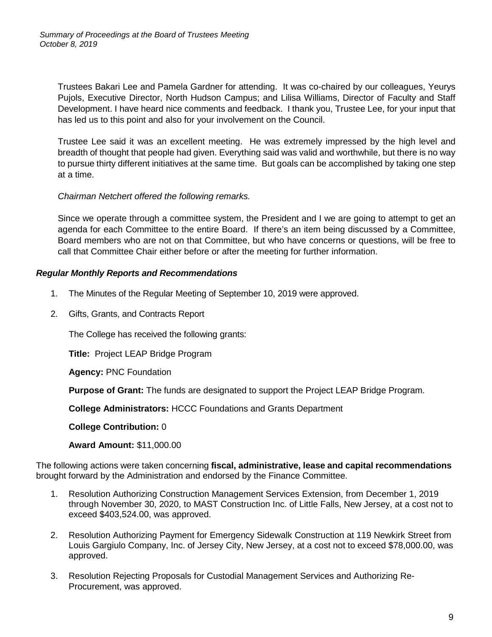Trustees Bakari Lee and Pamela Gardner for attending. It was co-chaired by our colleagues, Yeurys Pujols, Executive Director, North Hudson Campus; and Lilisa Williams, Director of Faculty and Staff Development. I have heard nice comments and feedback. I thank you, Trustee Lee, for your input that has led us to this point and also for your involvement on the Council.

Trustee Lee said it was an excellent meeting. He was extremely impressed by the high level and breadth of thought that people had given. Everything said was valid and worthwhile, but there is no way to pursue thirty different initiatives at the same time. But goals can be accomplished by taking one step at a time.

## *Chairman Netchert offered the following remarks.*

Since we operate through a committee system, the President and I we are going to attempt to get an agenda for each Committee to the entire Board. If there's an item being discussed by a Committee, Board members who are not on that Committee, but who have concerns or questions, will be free to call that Committee Chair either before or after the meeting for further information.

## *Regular Monthly Reports and Recommendations*

- 1. The Minutes of the Regular Meeting of September 10, 2019 were approved.
- 2. Gifts, Grants, and Contracts Report

The College has received the following grants:

**Title:** Project LEAP Bridge Program

**Agency:** PNC Foundation

**Purpose of Grant:** The funds are designated to support the Project LEAP Bridge Program.

**College Administrators:** HCCC Foundations and Grants Department

**College Contribution:** 0

**Award Amount:** \$11,000.00

The following actions were taken concerning **fiscal, administrative, lease and capital recommendations** brought forward by the Administration and endorsed by the Finance Committee.

- 1. Resolution Authorizing Construction Management Services Extension, from December 1, 2019 through November 30, 2020, to MAST Construction Inc. of Little Falls, New Jersey, at a cost not to exceed \$403,524.00, was approved.
- 2. Resolution Authorizing Payment for Emergency Sidewalk Construction at 119 Newkirk Street from Louis Gargiulo Company, Inc. of Jersey City, New Jersey, at a cost not to exceed \$78,000.00, was approved.
- 3. Resolution Rejecting Proposals for Custodial Management Services and Authorizing Re-Procurement, was approved.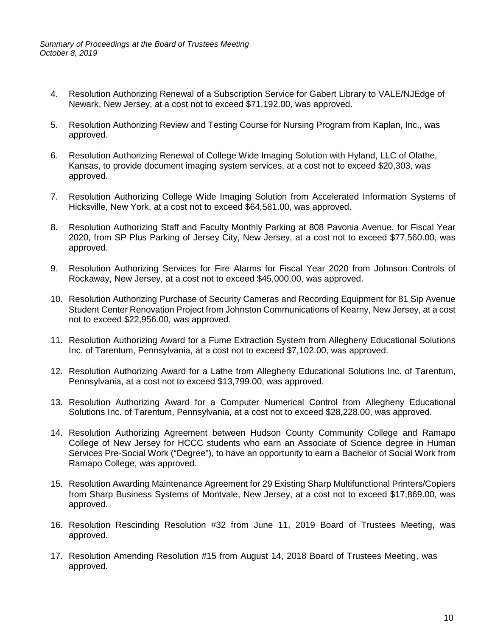- 4. Resolution Authorizing Renewal of a Subscription Service for Gabert Library to VALE/NJEdge of Newark, New Jersey, at a cost not to exceed \$71,192.00, was approved.
- 5. Resolution Authorizing Review and Testing Course for Nursing Program from Kaplan, Inc., was approved.
- 6. Resolution Authorizing Renewal of College Wide Imaging Solution with Hyland, LLC of Olathe, Kansas, to provide document imaging system services, at a cost not to exceed \$20,303, was approved.
- 7. Resolution Authorizing College Wide Imaging Solution from Accelerated Information Systems of Hicksville, New York, at a cost not to exceed \$64,581.00, was approved.
- 8. Resolution Authorizing Staff and Faculty Monthly Parking at 808 Pavonia Avenue, for Fiscal Year 2020, from SP Plus Parking of Jersey City, New Jersey, at a cost not to exceed \$77,560.00, was approved.
- 9. Resolution Authorizing Services for Fire Alarms for Fiscal Year 2020 from Johnson Controls of Rockaway, New Jersey, at a cost not to exceed \$45,000.00, was approved.
- 10. Resolution Authorizing Purchase of Security Cameras and Recording Equipment for 81 Sip Avenue Student Center Renovation Project from Johnston Communications of Kearny, New Jersey, at a cost not to exceed \$22,956.00, was approved.
- 11. Resolution Authorizing Award for a Fume Extraction System from Allegheny Educational Solutions Inc. of Tarentum, Pennsylvania, at a cost not to exceed \$7,102.00, was approved.
- 12. Resolution Authorizing Award for a Lathe from Allegheny Educational Solutions Inc. of Tarentum, Pennsylvania, at a cost not to exceed \$13,799.00, was approved.
- 13. Resolution Authorizing Award for a Computer Numerical Control from Allegheny Educational Solutions Inc. of Tarentum, Pennsylvania, at a cost not to exceed \$28,228.00, was approved.
- 14. Resolution Authorizing Agreement between Hudson County Community College and Ramapo College of New Jersey for HCCC students who earn an Associate of Science degree in Human Services Pre-Social Work ("Degree"), to have an opportunity to earn a Bachelor of Social Work from Ramapo College, was approved.
- 15. Resolution Awarding Maintenance Agreement for 29 Existing Sharp Multifunctional Printers/Copiers from Sharp Business Systems of Montvale, New Jersey, at a cost not to exceed \$17,869.00, was approved.
- 16. Resolution Rescinding Resolution #32 from June 11, 2019 Board of Trustees Meeting, was approved.
- 17. Resolution Amending Resolution #15 from August 14, 2018 Board of Trustees Meeting, was approved.